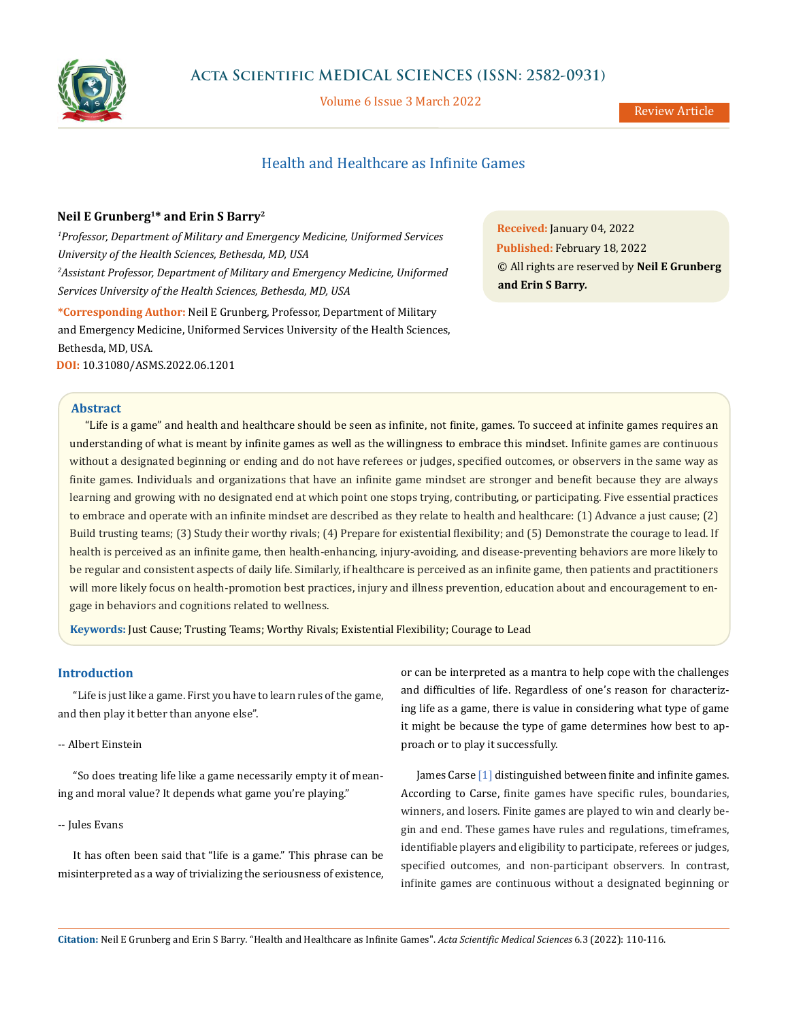

# **Acta Scientific MEDICAL SCIENCES (ISSN: 2582-0931)**

Volume 6 Issue 3 March 2022

# Health and Healthcare as Infinite Games

# **Neil E Grunberg1\* and Erin S Barry2**

<sup>1</sup> Professor, Department of Military and Emergency Medicine, Uniformed Services *University of the Health Sciences, Bethesda, MD, USA 2 Assistant Professor, Department of Military and Emergency Medicine, Uniformed Services University of the Health Sciences, Bethesda, MD, USA*

**\*Corresponding Author:** Neil E Grunberg, Professor, Department of Military and Emergency Medicine, Uniformed Services University of the Health Sciences, Bethesda, MD, USA. **DOI:** [10.31080/ASMS.2022.06.1201](https://actascientific.com/ASMS/pdf/ASMS-06-1201.pdf)

**Received:** January 04, 2022 **Published:** February 18, 2022 © All rights are reserved by **Neil E Grunberg and Erin S Barry***.* 

### **Abstract**

"Life is a game" and health and healthcare should be seen as infinite, not finite, games. To succeed at infinite games requires an understanding of what is meant by infinite games as well as the willingness to embrace this mindset. Infinite games are continuous without a designated beginning or ending and do not have referees or judges, specified outcomes, or observers in the same way as finite games. Individuals and organizations that have an infinite game mindset are stronger and benefit because they are always learning and growing with no designated end at which point one stops trying, contributing, or participating. Five essential practices to embrace and operate with an infinite mindset are described as they relate to health and healthcare: (1) Advance a just cause; (2) Build trusting teams; (3) Study their worthy rivals; (4) Prepare for existential flexibility; and (5) Demonstrate the courage to lead. If health is perceived as an infinite game, then health-enhancing, injury-avoiding, and disease-preventing behaviors are more likely to be regular and consistent aspects of daily life. Similarly, if healthcare is perceived as an infinite game, then patients and practitioners will more likely focus on health-promotion best practices, injury and illness prevention, education about and encouragement to engage in behaviors and cognitions related to wellness.

**Keywords:** Just Cause; Trusting Teams; Worthy Rivals; Existential Flexibility; Courage to Lead

# **Introduction**

"Life is just like a game. First you have to learn rules of the game, and then play it better than anyone else".

# -- Albert Einstein

"So does treating life like a game necessarily empty it of meaning and moral value? It depends what game you're playing."

# -- Jules Evans

It has often been said that "life is a game." This phrase can be misinterpreted as a way of trivializing the seriousness of existence, or can be interpreted as a mantra to help cope with the challenges and difficulties of life. Regardless of one's reason for characterizing life as a game, there is value in considering what type of game it might be because the type of game determines how best to approach or to play it successfully.

James Carse [1] distinguished between finite and infinite games. According to Carse, finite games have specific rules, boundaries, winners, and losers. Finite games are played to win and clearly begin and end. These games have rules and regulations, timeframes, identifiable players and eligibility to participate, referees or judges, specified outcomes, and non-participant observers. In contrast, infinite games are continuous without a designated beginning or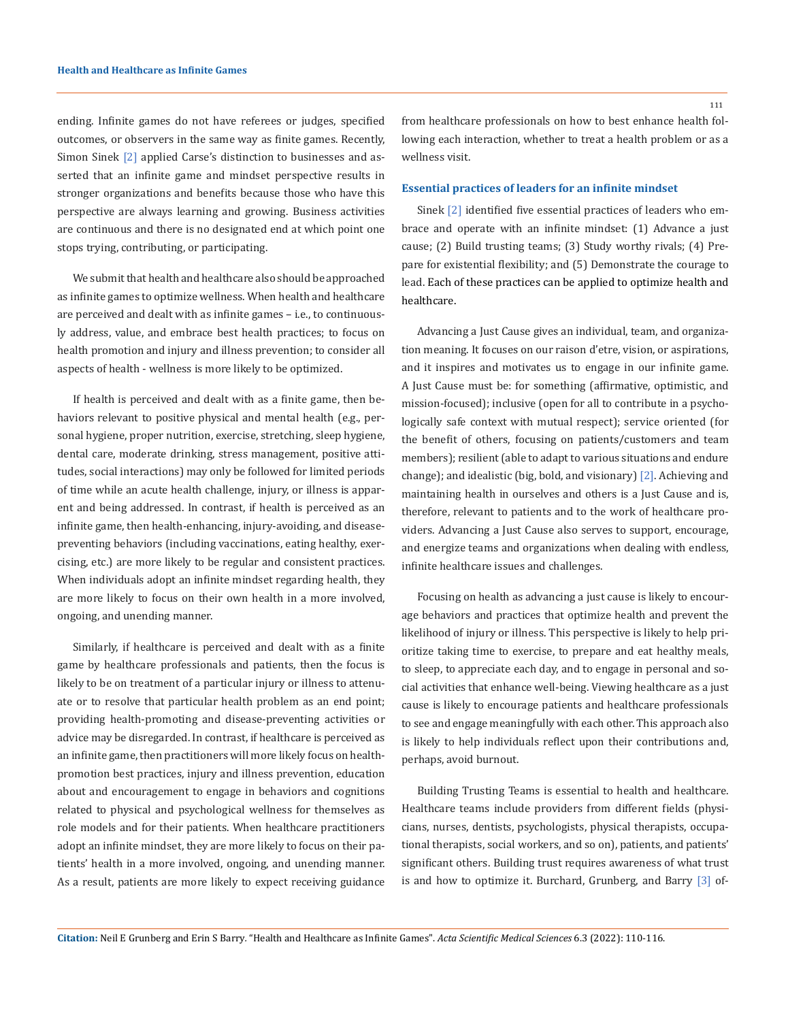ending. Infinite games do not have referees or judges, specified outcomes, or observers in the same way as finite games. Recently, Simon Sinek [2] applied Carse's distinction to businesses and asserted that an infinite game and mindset perspective results in stronger organizations and benefits because those who have this perspective are always learning and growing. Business activities are continuous and there is no designated end at which point one stops trying, contributing, or participating.

We submit that health and healthcare also should be approached as infinite games to optimize wellness. When health and healthcare are perceived and dealt with as infinite games – i.e., to continuously address, value, and embrace best health practices; to focus on health promotion and injury and illness prevention; to consider all aspects of health - wellness is more likely to be optimized.

If health is perceived and dealt with as a finite game, then behaviors relevant to positive physical and mental health (e.g., personal hygiene, proper nutrition, exercise, stretching, sleep hygiene, dental care, moderate drinking, stress management, positive attitudes, social interactions) may only be followed for limited periods of time while an acute health challenge, injury, or illness is apparent and being addressed. In contrast, if health is perceived as an infinite game, then health-enhancing, injury-avoiding, and diseasepreventing behaviors (including vaccinations, eating healthy, exercising, etc.) are more likely to be regular and consistent practices. When individuals adopt an infinite mindset regarding health, they are more likely to focus on their own health in a more involved, ongoing, and unending manner.

Similarly, if healthcare is perceived and dealt with as a finite game by healthcare professionals and patients, then the focus is likely to be on treatment of a particular injury or illness to attenuate or to resolve that particular health problem as an end point; providing health-promoting and disease-preventing activities or advice may be disregarded. In contrast, if healthcare is perceived as an infinite game, then practitioners will more likely focus on healthpromotion best practices, injury and illness prevention, education about and encouragement to engage in behaviors and cognitions related to physical and psychological wellness for themselves as role models and for their patients. When healthcare practitioners adopt an infinite mindset, they are more likely to focus on their patients' health in a more involved, ongoing, and unending manner. As a result, patients are more likely to expect receiving guidance from healthcare professionals on how to best enhance health following each interaction, whether to treat a health problem or as a wellness visit.

#### **Essential practices of leaders for an infinite mindset**

Sinek [2] identified five essential practices of leaders who embrace and operate with an infinite mindset: (1) Advance a just cause; (2) Build trusting teams; (3) Study worthy rivals; (4) Prepare for existential flexibility; and (5) Demonstrate the courage to lead. Each of these practices can be applied to optimize health and healthcare.

Advancing a Just Cause gives an individual, team, and organization meaning. It focuses on our raison d'etre, vision, or aspirations, and it inspires and motivates us to engage in our infinite game. A Just Cause must be: for something (affirmative, optimistic, and mission-focused); inclusive (open for all to contribute in a psychologically safe context with mutual respect); service oriented (for the benefit of others, focusing on patients/customers and team members); resilient (able to adapt to various situations and endure change); and idealistic (big, bold, and visionary) [2]. Achieving and maintaining health in ourselves and others is a Just Cause and is, therefore, relevant to patients and to the work of healthcare providers. Advancing a Just Cause also serves to support, encourage, and energize teams and organizations when dealing with endless, infinite healthcare issues and challenges.

Focusing on health as advancing a just cause is likely to encourage behaviors and practices that optimize health and prevent the likelihood of injury or illness. This perspective is likely to help prioritize taking time to exercise, to prepare and eat healthy meals, to sleep, to appreciate each day, and to engage in personal and social activities that enhance well-being. Viewing healthcare as a just cause is likely to encourage patients and healthcare professionals to see and engage meaningfully with each other. This approach also is likely to help individuals reflect upon their contributions and, perhaps, avoid burnout.

Building Trusting Teams is essential to health and healthcare. Healthcare teams include providers from different fields (physicians, nurses, dentists, psychologists, physical therapists, occupational therapists, social workers, and so on), patients, and patients' significant others. Building trust requires awareness of what trust is and how to optimize it. Burchard, Grunberg, and Barry [3] of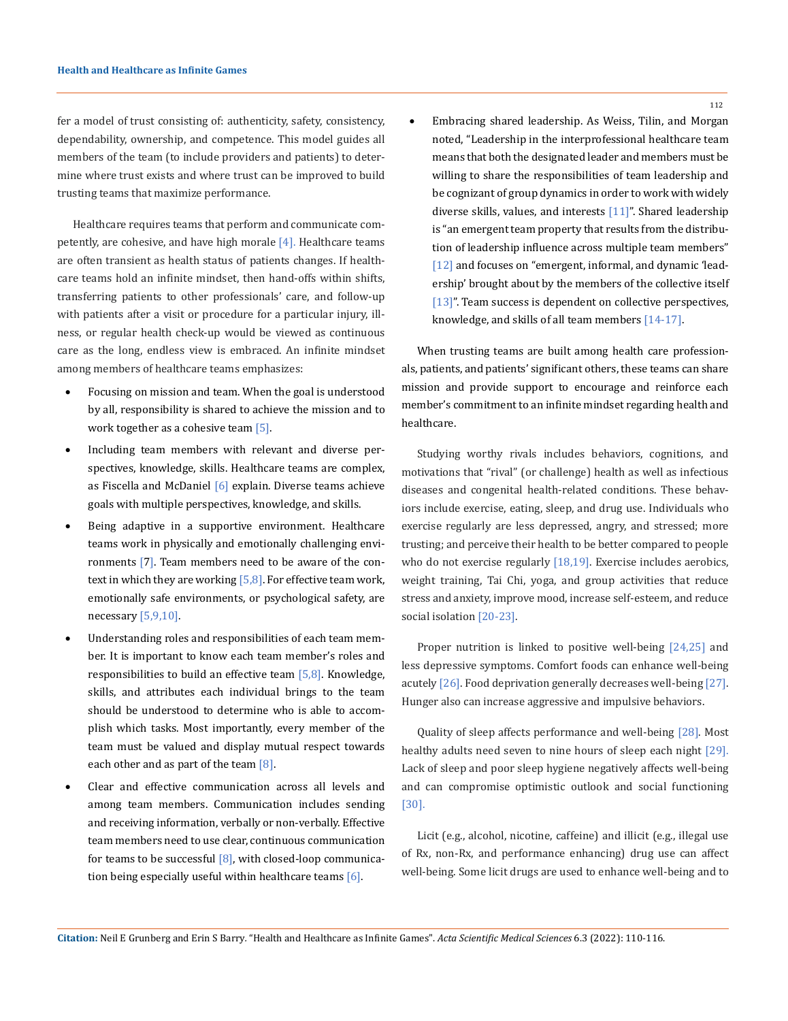fer a model of trust consisting of: authenticity, safety, consistency, dependability, ownership, and competence. This model guides all members of the team (to include providers and patients) to determine where trust exists and where trust can be improved to build trusting teams that maximize performance.

Healthcare requires teams that perform and communicate competently, are cohesive, and have high morale  $[4]$ . Healthcare teams are often transient as health status of patients changes. If healthcare teams hold an infinite mindset, then hand-offs within shifts, transferring patients to other professionals' care, and follow-up with patients after a visit or procedure for a particular injury, illness, or regular health check-up would be viewed as continuous care as the long, endless view is embraced. An infinite mindset among members of healthcare teams emphasizes:

- Focusing on mission and team. When the goal is understood by all, responsibility is shared to achieve the mission and to work together as a cohesive team [5].
- Including team members with relevant and diverse perspectives, knowledge, skills. Healthcare teams are complex, as Fiscella and McDaniel  $[6]$  explain. Diverse teams achieve goals with multiple perspectives, knowledge, and skills.
- Being adaptive in a supportive environment. Healthcare teams work in physically and emotionally challenging environments [7]. Team members need to be aware of the context in which they are working  $[5,8]$ . For effective team work, emotionally safe environments, or psychological safety, are necessary  $[5,9,10]$ .
- Understanding roles and responsibilities of each team member. It is important to know each team member's roles and responsibilities to build an effective team  $[5,8]$ . Knowledge, skills, and attributes each individual brings to the team should be understood to determine who is able to accomplish which tasks. Most importantly, every member of the team must be valued and display mutual respect towards each other and as part of the team  $[8]$ .
- Clear and effective communication across all levels and among team members. Communication includes sending and receiving information, verbally or non-verbally. Effective team members need to use clear, continuous communication for teams to be successful  $[8]$ , with closed-loop communication being especially useful within healthcare teams [6].

Embracing shared leadership. As Weiss, Tilin, and Morgan noted, "Leadership in the interprofessional healthcare team means that both the designated leader and members must be willing to share the responsibilities of team leadership and be cognizant of group dynamics in order to work with widely diverse skills, values, and interests  $[11]$ ". Shared leadership is "an emergent team property that results from the distribution of leadership influence across multiple team members" [12] and focuses on "emergent, informal, and dynamic 'leadership' brought about by the members of the collective itself [13]". Team success is dependent on collective perspectives, knowledge, and skills of all team members [14-17].

When trusting teams are built among health care professionals, patients, and patients' significant others, these teams can share mission and provide support to encourage and reinforce each member's commitment to an infinite mindset regarding health and healthcare.

Studying worthy rivals includes behaviors, cognitions, and motivations that "rival" (or challenge) health as well as infectious diseases and congenital health-related conditions. These behaviors include exercise, eating, sleep, and drug use. Individuals who exercise regularly are less depressed, angry, and stressed; more trusting; and perceive their health to be better compared to people who do not exercise regularly [18,19]. Exercise includes aerobics, weight training, Tai Chi, yoga, and group activities that reduce stress and anxiety, improve mood, increase self-esteem, and reduce social isolation [20-23].

Proper nutrition is linked to positive well-being [24,25] and less depressive symptoms. Comfort foods can enhance well-being acutely [26]. Food deprivation generally decreases well-being [27]. Hunger also can increase aggressive and impulsive behaviors.

Quality of sleep affects performance and well-being [28]. Most healthy adults need seven to nine hours of sleep each night [29]. Lack of sleep and poor sleep hygiene negatively affects well-being and can compromise optimistic outlook and social functioning [30].

Licit (e.g., alcohol, nicotine, caffeine) and illicit (e.g., illegal use of Rx, non-Rx, and performance enhancing) drug use can affect well-being. Some licit drugs are used to enhance well-being and to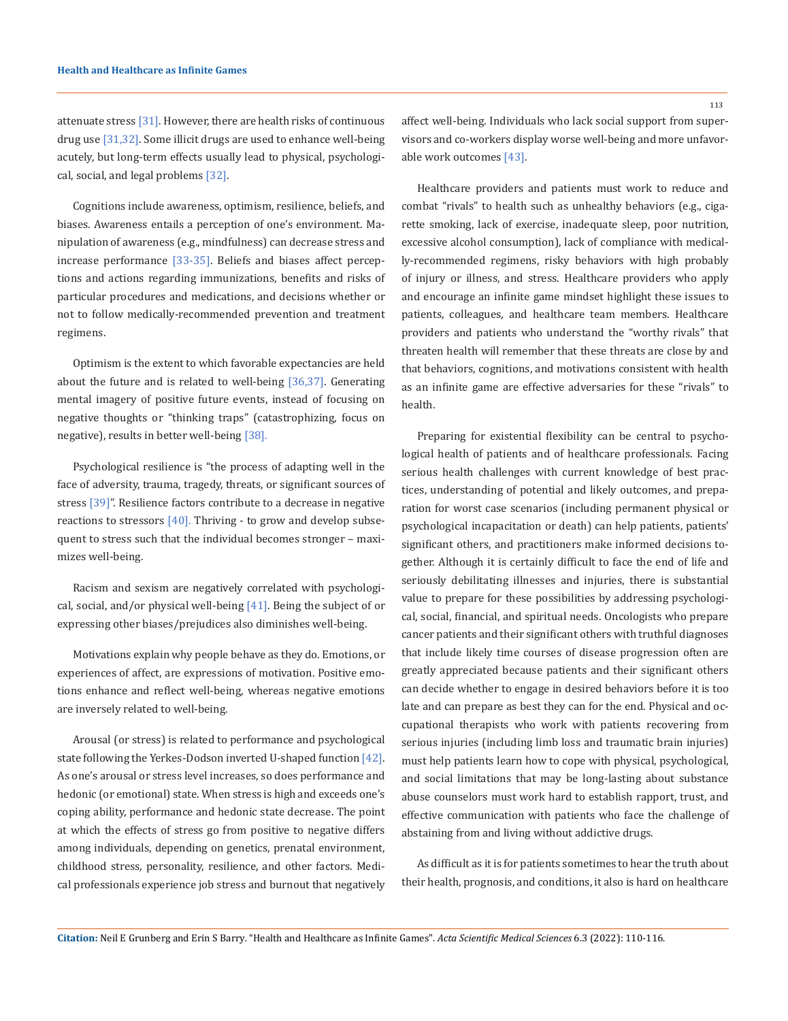attenuate stress [31]. However, there are health risks of continuous drug use [31,32]. Some illicit drugs are used to enhance well-being acutely, but long-term effects usually lead to physical, psychological, social, and legal problems [32].

Cognitions include awareness, optimism, resilience, beliefs, and biases. Awareness entails a perception of one's environment. Manipulation of awareness (e.g., mindfulness) can decrease stress and increase performance [33-35]. Beliefs and biases affect perceptions and actions regarding immunizations, benefits and risks of particular procedures and medications, and decisions whether or not to follow medically-recommended prevention and treatment regimens.

Optimism is the extent to which favorable expectancies are held about the future and is related to well-being  $[36,37]$ . Generating mental imagery of positive future events, instead of focusing on negative thoughts or "thinking traps" (catastrophizing, focus on negative), results in better well-being [38].

Psychological resilience is "the process of adapting well in the face of adversity, trauma, tragedy, threats, or significant sources of stress [39]". Resilience factors contribute to a decrease in negative reactions to stressors  $[40]$ . Thriving - to grow and develop subsequent to stress such that the individual becomes stronger – maximizes well-being.

Racism and sexism are negatively correlated with psychological, social, and/or physical well-being  $[41]$ . Being the subject of or expressing other biases/prejudices also diminishes well-being.

Motivations explain why people behave as they do. Emotions, or experiences of affect, are expressions of motivation. Positive emotions enhance and reflect well-being, whereas negative emotions are inversely related to well-being.

Arousal (or stress) is related to performance and psychological state following the Yerkes-Dodson inverted U-shaped function [42]. As one's arousal or stress level increases, so does performance and hedonic (or emotional) state. When stress is high and exceeds one's coping ability, performance and hedonic state decrease. The point at which the effects of stress go from positive to negative differs among individuals, depending on genetics, prenatal environment, childhood stress, personality, resilience, and other factors. Medical professionals experience job stress and burnout that negatively affect well-being. Individuals who lack social support from supervisors and co-workers display worse well-being and more unfavorable work outcomes [43].

Healthcare providers and patients must work to reduce and combat "rivals" to health such as unhealthy behaviors (e.g., cigarette smoking, lack of exercise, inadequate sleep, poor nutrition, excessive alcohol consumption), lack of compliance with medically-recommended regimens, risky behaviors with high probably of injury or illness, and stress. Healthcare providers who apply and encourage an infinite game mindset highlight these issues to patients, colleagues, and healthcare team members. Healthcare providers and patients who understand the "worthy rivals" that threaten health will remember that these threats are close by and that behaviors, cognitions, and motivations consistent with health as an infinite game are effective adversaries for these "rivals" to health.

Preparing for existential flexibility can be central to psychological health of patients and of healthcare professionals. Facing serious health challenges with current knowledge of best practices, understanding of potential and likely outcomes, and preparation for worst case scenarios (including permanent physical or psychological incapacitation or death) can help patients, patients' significant others, and practitioners make informed decisions together. Although it is certainly difficult to face the end of life and seriously debilitating illnesses and injuries, there is substantial value to prepare for these possibilities by addressing psychological, social, financial, and spiritual needs. Oncologists who prepare cancer patients and their significant others with truthful diagnoses that include likely time courses of disease progression often are greatly appreciated because patients and their significant others can decide whether to engage in desired behaviors before it is too late and can prepare as best they can for the end. Physical and occupational therapists who work with patients recovering from serious injuries (including limb loss and traumatic brain injuries) must help patients learn how to cope with physical, psychological, and social limitations that may be long-lasting about substance abuse counselors must work hard to establish rapport, trust, and effective communication with patients who face the challenge of abstaining from and living without addictive drugs.

As difficult as it is for patients sometimes to hear the truth about their health, prognosis, and conditions, it also is hard on healthcare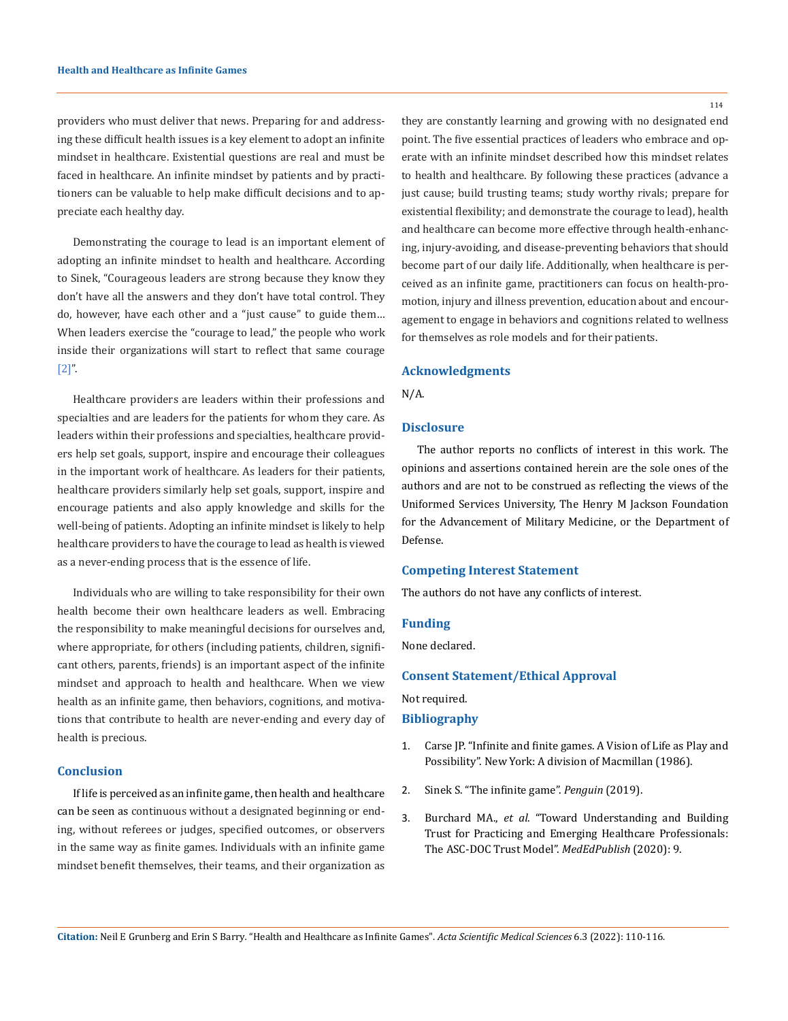providers who must deliver that news. Preparing for and addressing these difficult health issues is a key element to adopt an infinite mindset in healthcare. Existential questions are real and must be faced in healthcare. An infinite mindset by patients and by practitioners can be valuable to help make difficult decisions and to appreciate each healthy day.

Demonstrating the courage to lead is an important element of adopting an infinite mindset to health and healthcare. According to Sinek, "Courageous leaders are strong because they know they don't have all the answers and they don't have total control. They do, however, have each other and a "just cause" to guide them… When leaders exercise the "courage to lead," the people who work inside their organizations will start to reflect that same courage [2]".

Healthcare providers are leaders within their professions and specialties and are leaders for the patients for whom they care. As leaders within their professions and specialties, healthcare providers help set goals, support, inspire and encourage their colleagues in the important work of healthcare. As leaders for their patients, healthcare providers similarly help set goals, support, inspire and encourage patients and also apply knowledge and skills for the well-being of patients. Adopting an infinite mindset is likely to help healthcare providers to have the courage to lead as health is viewed as a never-ending process that is the essence of life.

Individuals who are willing to take responsibility for their own health become their own healthcare leaders as well. Embracing the responsibility to make meaningful decisions for ourselves and, where appropriate, for others (including patients, children, significant others, parents, friends) is an important aspect of the infinite mindset and approach to health and healthcare. When we view health as an infinite game, then behaviors, cognitions, and motivations that contribute to health are never-ending and every day of health is precious.

## **Conclusion**

If life is perceived as an infinite game, then health and healthcare can be seen as continuous without a designated beginning or ending, without referees or judges, specified outcomes, or observers in the same way as finite games. Individuals with an infinite game mindset benefit themselves, their teams, and their organization as 114

they are constantly learning and growing with no designated end point. The five essential practices of leaders who embrace and operate with an infinite mindset described how this mindset relates to health and healthcare. By following these practices (advance a just cause; build trusting teams; study worthy rivals; prepare for existential flexibility; and demonstrate the courage to lead), health and healthcare can become more effective through health-enhancing, injury-avoiding, and disease-preventing behaviors that should become part of our daily life. Additionally, when healthcare is perceived as an infinite game, practitioners can focus on health-promotion, injury and illness prevention, education about and encouragement to engage in behaviors and cognitions related to wellness for themselves as role models and for their patients.

## **Acknowledgments**

N/A.

### **Disclosure**

The author reports no conflicts of interest in this work. The opinions and assertions contained herein are the sole ones of the authors and are not to be construed as reflecting the views of the Uniformed Services University, The Henry M Jackson Foundation for the Advancement of Military Medicine, or the Department of Defense.

### **Competing Interest Statement**

The authors do not have any conflicts of interest.

#### **Funding**

None declared.

#### **Consent Statement/Ethical Approval**

Not required.

## **Bibliography**

- 1. Carse JP. "Infinite and finite games. A Vision of Life as Play and Possibility". New York: A division of Macmillan (1986).
- 2. Sinek S. "The infinite game". *Penguin* (2019).
- 3. Burchard MA., *et al*[. "Toward Understanding and Building](https://www.researchgate.net/publication/347647925_Toward_Understanding_and_Building_Trust_for_Practicing_and_Emerging_Healthcare_Professionals_The_ASC-DOC_Trust_Model) [Trust for Practicing and Emerging Healthcare Professionals:](https://www.researchgate.net/publication/347647925_Toward_Understanding_and_Building_Trust_for_Practicing_and_Emerging_Healthcare_Professionals_The_ASC-DOC_Trust_Model) [The ASC-DOC Trust Model".](https://www.researchgate.net/publication/347647925_Toward_Understanding_and_Building_Trust_for_Practicing_and_Emerging_Healthcare_Professionals_The_ASC-DOC_Trust_Model) *MedEdPublish* (2020): 9.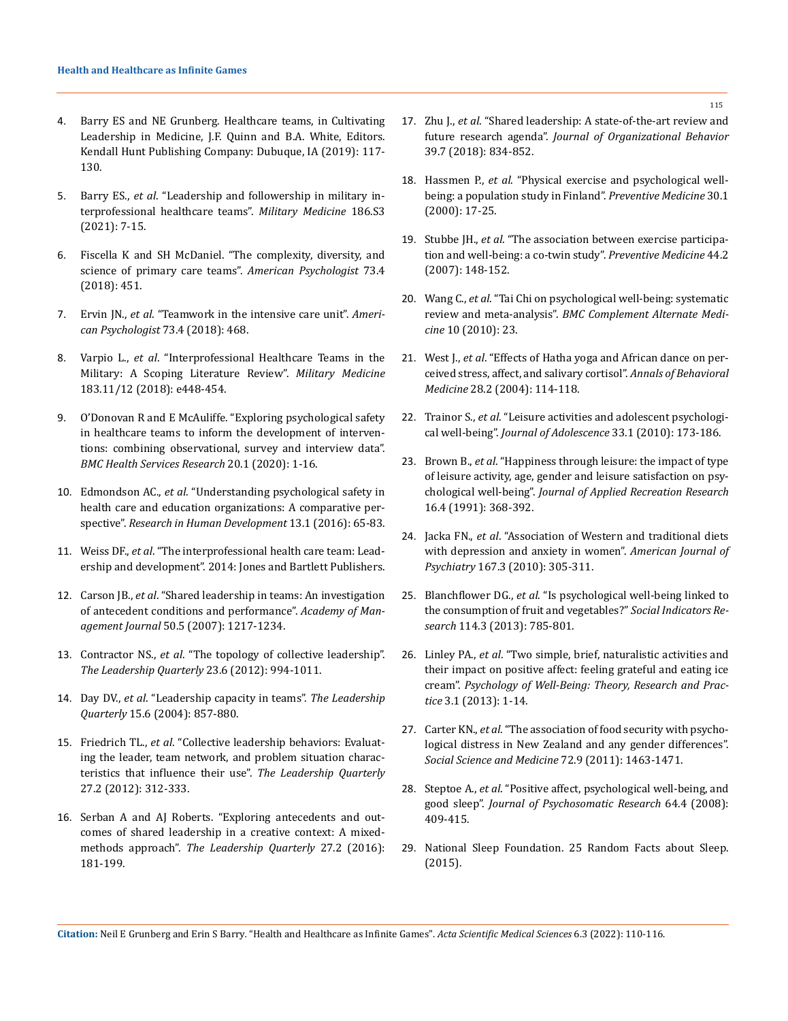- 4. Barry ES and NE Grunberg. Healthcare teams, in Cultivating Leadership in Medicine, J.F. Quinn and B.A. White, Editors. Kendall Hunt Publishing Company: Dubuque, IA (2019): 117- 130.
- 5. Barry ES., *et al*[. "Leadership and followership in military in](https://academic.oup.com/milmed/article/186/Supplement_3/7/6409796)[terprofessional healthcare teams".](https://academic.oup.com/milmed/article/186/Supplement_3/7/6409796) *Military Medicine* 186.S3 [\(2021\): 7-15.](https://academic.oup.com/milmed/article/186/Supplement_3/7/6409796)
- 6. [Fiscella K and SH McDaniel. "The complexity, diversity, and](https://pubmed.ncbi.nlm.nih.gov/29792460/)  [science of primary care teams".](https://pubmed.ncbi.nlm.nih.gov/29792460/) *American Psychologist* 73.4 [\(2018\): 451.](https://pubmed.ncbi.nlm.nih.gov/29792460/)
- 7. Ervin JN., *et al*[. "Teamwork in the intensive care unit".](https://www.ncbi.nlm.nih.gov/pmc/articles/PMC6662208/) *Ameri[can Psychologist](https://www.ncbi.nlm.nih.gov/pmc/articles/PMC6662208/)* 73.4 (2018): 468.
- 8. Varpio L., *et al*[. "Interprofessional Healthcare Teams in the](https://pubmed.ncbi.nlm.nih.gov/29741728/)  [Military: A Scoping Literature Review".](https://pubmed.ncbi.nlm.nih.gov/29741728/) *Military Medicine* [183.11/12 \(2018\): e448-454.](https://pubmed.ncbi.nlm.nih.gov/29741728/)
- 9. [O'Donovan R and E McAuliffe. "Exploring psychological safety](https://bmchealthservres.biomedcentral.com/articles/10.1186/s12913-020-05646-z)  [in healthcare teams to inform the development of interven](https://bmchealthservres.biomedcentral.com/articles/10.1186/s12913-020-05646-z)[tions: combining observational, survey and interview data".](https://bmchealthservres.biomedcentral.com/articles/10.1186/s12913-020-05646-z)  *[BMC Health Services Research](https://bmchealthservres.biomedcentral.com/articles/10.1186/s12913-020-05646-z)* 20.1 (2020): 1-16.
- 10. Edmondson AC., *et al*[. "Understanding psychological safety in](https://www.researchgate.net/publication/296623520_Understanding_Psychological_Safety_in_Health_Care_and_Education_Organizations_A_Comparative_Perspective)  [health care and education organizations: A comparative per](https://www.researchgate.net/publication/296623520_Understanding_Psychological_Safety_in_Health_Care_and_Education_Organizations_A_Comparative_Perspective)spective". *[Research in Human Development](https://www.researchgate.net/publication/296623520_Understanding_Psychological_Safety_in_Health_Care_and_Education_Organizations_A_Comparative_Perspective)* 13.1 (2016): 65-83.
- 11. Weiss DF., *et al*. "The interprofessional health care team: Leadership and development". 2014: Jones and Bartlett Publishers.
- 12. Carson JB., *et al*. "Shared leadership in teams: An investigation of antecedent conditions and performance". *Academy of Management Journal* 50.5 (2007): 1217-1234.
- 13. Contractor NS., *et al*[. "The topology of collective leadership".](https://www.sciencedirect.com/science/article/pii/S1048984312000999)  *[The Leadership Quarterly](https://www.sciencedirect.com/science/article/pii/S1048984312000999)* 23.6 (2012): 994-1011.
- 14. Day DV., *et al*. "Leadership capacity in teams". *The Leadership Quarterly* 15.6 (2004): 857-880.
- 15. Friedrich TL., *et al*[. "Collective leadership behaviors: Evaluat](https://www.sciencedirect.com/science/article/pii/S104898431600014X)[ing the leader, team network, and problem situation charac](https://www.sciencedirect.com/science/article/pii/S104898431600014X)[teristics that influence their use".](https://www.sciencedirect.com/science/article/pii/S104898431600014X) *The Leadership Quarterly* [27.2 \(2012\): 312-333.](https://www.sciencedirect.com/science/article/pii/S104898431600014X)
- 16. [Serban A and AJ Roberts. "Exploring antecedents and out](https://www.sciencedirect.com/science/article/pii/S1048984316000102)[comes of shared leadership in a creative context: A mixed](https://www.sciencedirect.com/science/article/pii/S1048984316000102)methods approach". *[The Leadership Quarterly](https://www.sciencedirect.com/science/article/pii/S1048984316000102)* 27.2 (2016): [181-199.](https://www.sciencedirect.com/science/article/pii/S1048984316000102)
- 17. Zhu J., *et al*[. "Shared leadership: A state‐of‐the‐art review and](https://onlinelibrary.wiley.com/doi/abs/10.1002/job.2296)  future research agenda". *[Journal of Organizational Behavior](https://onlinelibrary.wiley.com/doi/abs/10.1002/job.2296)*  [39.7 \(2018\): 834-852.](https://onlinelibrary.wiley.com/doi/abs/10.1002/job.2296)
- 18. Hassmen P., *et al*[. "Physical exercise and psychological well](https://pubmed.ncbi.nlm.nih.gov/10642456/)[being: a population study in Finland".](https://pubmed.ncbi.nlm.nih.gov/10642456/) *Preventive Medicine* 30.1 [\(2000\): 17-25.](https://pubmed.ncbi.nlm.nih.gov/10642456/)
- 19. Stubbe JH., *et al*. "The association between exercise participation and well-being: a co-twin study". *Preventive Medicine* 44.2 (2007): 148-152.
- 20. Wang C., *et al*[. "Tai Chi on psychological well-being: systematic](https://bmccomplementmedtherapies.biomedcentral.com/articles/10.1186/1472-6882-10-23)  review and meta-analysis". *[BMC Complement Alternate Medi](https://bmccomplementmedtherapies.biomedcentral.com/articles/10.1186/1472-6882-10-23)cine* [10 \(2010\): 23.](https://bmccomplementmedtherapies.biomedcentral.com/articles/10.1186/1472-6882-10-23)
- 21. West J., *et al*[. "Effects of Hatha yoga and African dance on per](https://pubmed.ncbi.nlm.nih.gov/15454358/)[ceived stress, affect, and salivary cortisol".](https://pubmed.ncbi.nlm.nih.gov/15454358/) *Annals of Behavioral Medicine* [28.2 \(2004\): 114-118.](https://pubmed.ncbi.nlm.nih.gov/15454358/)
- 22. Trainor S., *et al*[. "Leisure activities and adolescent psychologi](file:///E:/ANUSHA/Acta/MARCH/ASMS/ASMS-22-RW-003/S0140197109000396)cal well-being". *[Journal of Adolescence](file:///E:/ANUSHA/Acta/MARCH/ASMS/ASMS-22-RW-003/S0140197109000396)* 33.1 (2010): 173-186.
- 23. Brown B., *et al*[. "Happiness through leisure: the impact of type](https://www.semanticscholar.org/paper/Happiness-through-leisure%3A-the-impact-of-type-of-on-Brown-Frankel/dcccacf7b08f6506431a356540114c0f79ac41e5)  [of leisure activity, age, gender and leisure satisfaction on psy](https://www.semanticscholar.org/paper/Happiness-through-leisure%3A-the-impact-of-type-of-on-Brown-Frankel/dcccacf7b08f6506431a356540114c0f79ac41e5)chological well-being". *[Journal of Applied Recreation Research](https://www.semanticscholar.org/paper/Happiness-through-leisure%3A-the-impact-of-type-of-on-Brown-Frankel/dcccacf7b08f6506431a356540114c0f79ac41e5)* [16.4 \(1991\): 368-392.](https://www.semanticscholar.org/paper/Happiness-through-leisure%3A-the-impact-of-type-of-on-Brown-Frankel/dcccacf7b08f6506431a356540114c0f79ac41e5)
- 24. Jacka FN., *et al*[. "Association of Western and traditional diets](https://pubmed.ncbi.nlm.nih.gov/20048020/)  [with depression and anxiety in women".](https://pubmed.ncbi.nlm.nih.gov/20048020/) *American Journal of Psychiatry* [167.3 \(2010\): 305-311.](https://pubmed.ncbi.nlm.nih.gov/20048020/)
- 25. Blanchflower DG., *et al*. "Is psychological well-being linked to the consumption of fruit and vegetables?" *Social Indicators Research* 114.3 (2013): 785-801.
- 26. Linley PA., *et al*. "Two simple, brief, naturalistic activities and their impact on positive affect: feeling grateful and eating ice cream". *Psychology of Well-Being: Theory, Research and Practice* 3.1 (2013): 1-14.
- 27. Carter KN., *et al*[. "The association of food security with psycho](https://pubmed.ncbi.nlm.nih.gov/21481507/)[logical distress in New Zealand and any gender differences".](https://pubmed.ncbi.nlm.nih.gov/21481507/)  *[Social Science and Medicine](https://pubmed.ncbi.nlm.nih.gov/21481507/)* 72.9 (2011): 1463-1471.
- 28. Steptoe A., *et al*[. "Positive affect, psychological well-being, and](https://www.sciencedirect.com/science/article/abs/pii/S0022399907004515)  good sleep". *[Journal of Psychosomatic Research](https://www.sciencedirect.com/science/article/abs/pii/S0022399907004515)* 64.4 (2008): [409-415.](https://www.sciencedirect.com/science/article/abs/pii/S0022399907004515)
- 29. [National Sleep Foundation. 25 Random Facts about Sleep.](http://sleepfoundation.org/sleep-news/25-random-facts-about-sleep)  [\(2015\).](http://sleepfoundation.org/sleep-news/25-random-facts-about-sleep)